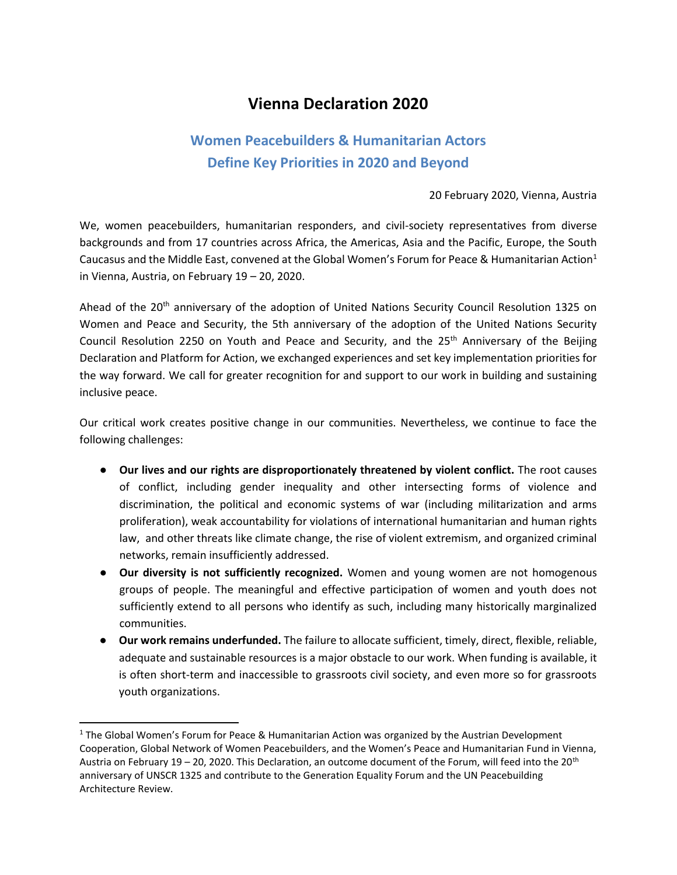# **Vienna Declaration 2020**

## **Women Peacebuilders & Humanitarian Actors Define Key Priorities in 2020 and Beyond**

#### 20 February 2020, Vienna, Austria

We, women peacebuilders, humanitarian responders, and civil-society representatives from diverse backgrounds and from 17 countries across Africa, the Americas, Asia and the Pacific, Europe, the South Caucasus and the Middle East, convened at the Global Women's Forum for Peace & Humanitarian Action<sup>1</sup> in Vienna, Austria, on February 19 – 20, 2020.

Ahead of the 20<sup>th</sup> anniversary of the adoption of United Nations Security Council Resolution 1325 on Women and Peace and Security, the 5th anniversary of the adoption of the United Nations Security Council Resolution 2250 on Youth and Peace and Security, and the 25<sup>th</sup> Anniversary of the Beijing Declaration and Platform for Action, we exchanged experiences and set key implementation priorities for the way forward. We call for greater recognition for and support to our work in building and sustaining inclusive peace.

Our critical work creates positive change in our communities. Nevertheless, we continue to face the following challenges:

- **Our lives and our rights are disproportionately threatened by violent conflict.** The root causes of conflict, including gender inequality and other intersecting forms of violence and discrimination, the political and economic systems of war (including militarization and arms proliferation), weak accountability for violations of international humanitarian and human rights law, and other threats like climate change, the rise of violent extremism, and organized criminal networks, remain insufficiently addressed.
- **Our diversity is not sufficiently recognized.** Women and young women are not homogenous groups of people. The meaningful and effective participation of women and youth does not sufficiently extend to all persons who identify as such, including many historically marginalized communities.
- **Our work remains underfunded.** The failure to allocate sufficient, timely, direct, flexible, reliable, adequate and sustainable resources is a major obstacle to our work. When funding is available, it is often short-term and inaccessible to grassroots civil society, and even more so for grassroots youth organizations.

<sup>&</sup>lt;sup>1</sup> The Global Women's Forum for Peace & Humanitarian Action was organized by the Austrian Development Cooperation, Global Network of Women Peacebuilders, and the Women's Peace and Humanitarian Fund in Vienna, Austria on February 19 – 20, 2020. This Declaration, an outcome document of the Forum, will feed into the 20th anniversary of UNSCR 1325 and contribute to the Generation Equality Forum and the UN Peacebuilding Architecture Review.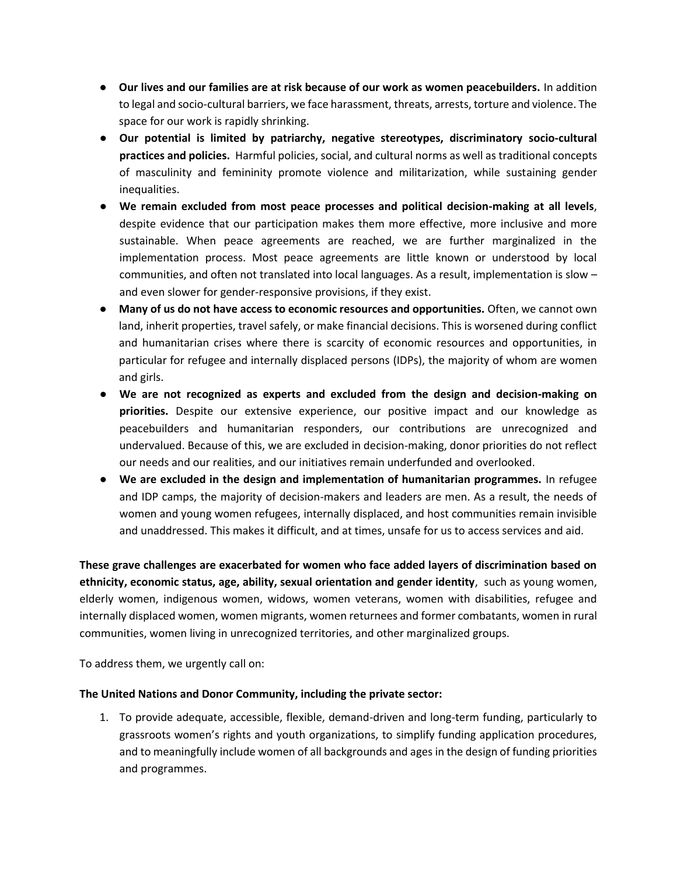- **Our lives and our families are at risk because of our work as women peacebuilders.** In addition to legal and socio-cultural barriers, we face harassment, threats, arrests, torture and violence. The space for our work is rapidly shrinking.
- **Our potential is limited by patriarchy, negative stereotypes, discriminatory socio-cultural practices and policies.** Harmful policies, social, and cultural norms as well as traditional concepts of masculinity and femininity promote violence and militarization, while sustaining gender inequalities.
- **We remain excluded from most peace processes and political decision-making at all levels**, despite evidence that our participation makes them more effective, more inclusive and more sustainable. When peace agreements are reached, we are further marginalized in the implementation process. Most peace agreements are little known or understood by local communities, and often not translated into local languages. As a result, implementation is slow – and even slower for gender-responsive provisions, if they exist.
- **Many of us do not have access to economic resources and opportunities.** Often, we cannot own land, inherit properties, travel safely, or make financial decisions. This is worsened during conflict and humanitarian crises where there is scarcity of economic resources and opportunities, in particular for refugee and internally displaced persons (IDPs), the majority of whom are women and girls.
- **We are not recognized as experts and excluded from the design and decision-making on priorities.** Despite our extensive experience, our positive impact and our knowledge as peacebuilders and humanitarian responders, our contributions are unrecognized and undervalued. Because of this, we are excluded in decision-making, donor priorities do not reflect our needs and our realities, and our initiatives remain underfunded and overlooked.
- **We are excluded in the design and implementation of humanitarian programmes.** In refugee and IDP camps, the majority of decision-makers and leaders are men. As a result, the needs of women and young women refugees, internally displaced, and host communities remain invisible and unaddressed. This makes it difficult, and at times, unsafe for us to access services and aid.

**These grave challenges are exacerbated for women who face added layers of discrimination based on ethnicity, economic status, age, ability, sexual orientation and gender identity**, such as young women, elderly women, indigenous women, widows, women veterans, women with disabilities, refugee and internally displaced women, women migrants, women returnees and former combatants, women in rural communities, women living in unrecognized territories, and other marginalized groups.

To address them, we urgently call on:

### **The United Nations and Donor Community, including the private sector:**

1. To provide adequate, accessible, flexible, demand-driven and long-term funding, particularly to grassroots women's rights and youth organizations, to simplify funding application procedures, and to meaningfully include women of all backgrounds and ages in the design of funding priorities and programmes.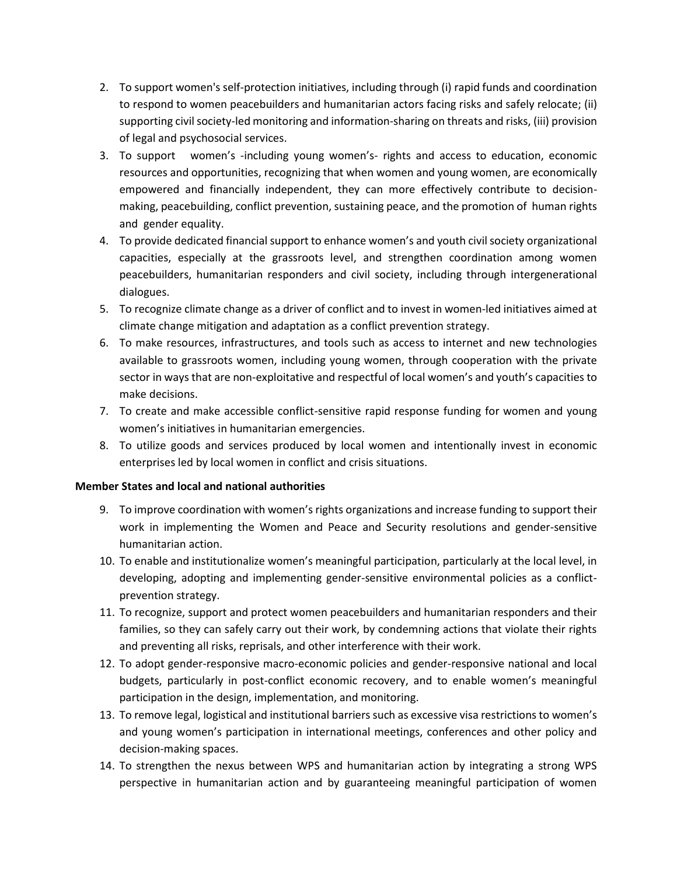- 2. To support women's self-protection initiatives, including through (i) rapid funds and coordination to respond to women peacebuilders and humanitarian actors facing risks and safely relocate; (ii) supporting civil society-led monitoring and information-sharing on threats and risks, (iii) provision of legal and psychosocial services.
- 3. To support women's -including young women's- rights and access to education, economic resources and opportunities, recognizing that when women and young women, are economically empowered and financially independent, they can more effectively contribute to decisionmaking, peacebuilding, conflict prevention, sustaining peace, and the promotion of human rights and gender equality.
- 4. To provide dedicated financial support to enhance women's and youth civil society organizational capacities, especially at the grassroots level, and strengthen coordination among women peacebuilders, humanitarian responders and civil society, including through intergenerational dialogues.
- 5. To recognize climate change as a driver of conflict and to invest in women-led initiatives aimed at climate change mitigation and adaptation as a conflict prevention strategy.
- 6. To make resources, infrastructures, and tools such as access to internet and new technologies available to grassroots women, including young women, through cooperation with the private sector in ways that are non-exploitative and respectful of local women's and youth's capacities to make decisions.
- 7. To create and make accessible conflict-sensitive rapid response funding for women and young women's initiatives in humanitarian emergencies.
- 8. To utilize goods and services produced by local women and intentionally invest in economic enterprises led by local women in conflict and crisis situations.

### **Member States and local and national authorities**

- 9. To improve coordination with women's rights organizations and increase funding to support their work in implementing the Women and Peace and Security resolutions and gender-sensitive humanitarian action.
- 10. To enable and institutionalize women's meaningful participation, particularly at the local level, in developing, adopting and implementing gender-sensitive environmental policies as a conflictprevention strategy.
- 11. To recognize, support and protect women peacebuilders and humanitarian responders and their families, so they can safely carry out their work, by condemning actions that violate their rights and preventing all risks, reprisals, and other interference with their work.
- 12. To adopt gender-responsive macro-economic policies and gender-responsive national and local budgets, particularly in post-conflict economic recovery, and to enable women's meaningful participation in the design, implementation, and monitoring.
- 13. To remove legal, logistical and institutional barriers such as excessive visa restrictions to women's and young women's participation in international meetings, conferences and other policy and decision-making spaces.
- 14. To strengthen the nexus between WPS and humanitarian action by integrating a strong WPS perspective in humanitarian action and by guaranteeing meaningful participation of women